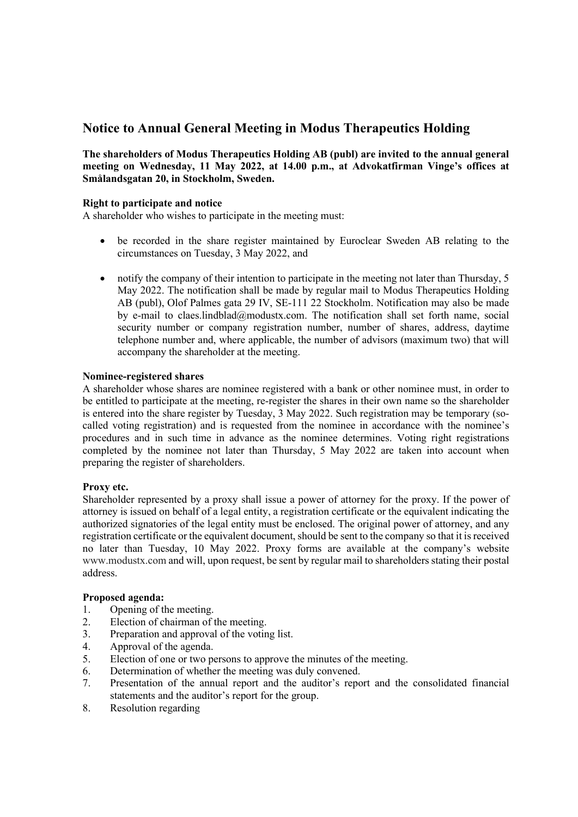# **Notice to Annual General Meeting in Modus Therapeutics Holding**

**The shareholders of Modus Therapeutics Holding AB (publ) are invited to the annual general meeting on Wednesday, 11 May 2022, at 14.00 p.m., at Advokatfirman Vinge's offices at Smålandsgatan 20, in Stockholm, Sweden.** 

## **Right to participate and notice**

A shareholder who wishes to participate in the meeting must:

- be recorded in the share register maintained by Euroclear Sweden AB relating to the circumstances on Tuesday, 3 May 2022, and
- notify the company of their intention to participate in the meeting not later than Thursday, 5 May 2022. The notification shall be made by regular mail to Modus Therapeutics Holding AB (publ), Olof Palmes gata 29 IV, SE-111 22 Stockholm. Notification may also be made by e-mail to claes.lindblad@modustx.com. The notification shall set forth name, social security number or company registration number, number of shares, address, daytime telephone number and, where applicable, the number of advisors (maximum two) that will accompany the shareholder at the meeting.

## **Nominee-registered shares**

A shareholder whose shares are nominee registered with a bank or other nominee must, in order to be entitled to participate at the meeting, re-register the shares in their own name so the shareholder is entered into the share register by Tuesday, 3 May 2022. Such registration may be temporary (socalled voting registration) and is requested from the nominee in accordance with the nominee's procedures and in such time in advance as the nominee determines. Voting right registrations completed by the nominee not later than Thursday, 5 May 2022 are taken into account when preparing the register of shareholders.

## **Proxy etc.**

Shareholder represented by a proxy shall issue a power of attorney for the proxy. If the power of attorney is issued on behalf of a legal entity, a registration certificate or the equivalent indicating the authorized signatories of the legal entity must be enclosed. The original power of attorney, and any registration certificate or the equivalent document, should be sent to the company so that it is received no later than Tuesday, 10 May 2022. Proxy forms are available at the company's website [www.modustx.com](http://www.modustx.com/) and will, upon request, be sent by regular mail to shareholders stating their postal address.

## **Proposed agenda:**

- 1. Opening of the meeting.
- 2. Election of chairman of the meeting.
- 3. Preparation and approval of the voting list.
- 4. Approval of the agenda.
- 5. Election of one or two persons to approve the minutes of the meeting.
- 6. Determination of whether the meeting was duly convened.
- 7. Presentation of the annual report and the auditor's report and the consolidated financial statements and the auditor's report for the group.
- 8. Resolution regarding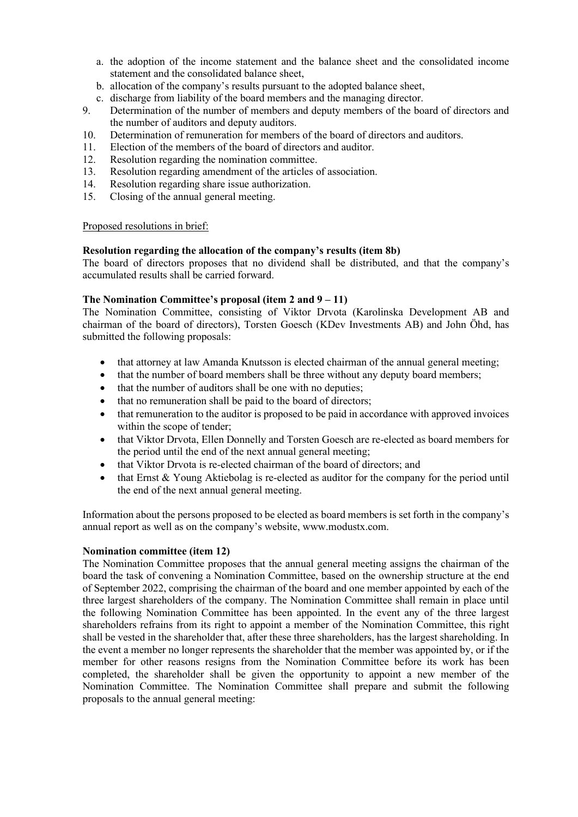- a. the adoption of the income statement and the balance sheet and the consolidated income statement and the consolidated balance sheet,
- b. allocation of the company's results pursuant to the adopted balance sheet,
- c. discharge from liability of the board members and the managing director.
- 9. Determination of the number of members and deputy members of the board of directors and the number of auditors and deputy auditors.
- 10. Determination of remuneration for members of the board of directors and auditors.
- 11. Election of the members of the board of directors and auditor.
- 12. Resolution regarding the nomination committee.
- 13. Resolution regarding amendment of the articles of association.
- 14. Resolution regarding share issue authorization.
- 15. Closing of the annual general meeting.

## Proposed resolutions in brief:

## **Resolution regarding the allocation of the company's results (item 8b)**

The board of directors proposes that no dividend shall be distributed, and that the company's accumulated results shall be carried forward.

## **The Nomination Committee's proposal (item 2 and 9 – 11)**

The Nomination Committee, consisting of Viktor Drvota (Karolinska Development AB and chairman of the board of directors), Torsten Goesch (KDev Investments AB) and John Öhd, has submitted the following proposals:

- that attorney at law Amanda Knutsson is elected chairman of the annual general meeting;
- that the number of board members shall be three without any deputy board members;
- that the number of auditors shall be one with no deputies;
- that no remuneration shall be paid to the board of directors;
- that remuneration to the auditor is proposed to be paid in accordance with approved invoices within the scope of tender;
- that Viktor Drvota, Ellen Donnelly and Torsten Goesch are re-elected as board members for the period until the end of the next annual general meeting;
- that Viktor Drvota is re-elected chairman of the board of directors; and
- that Ernst & Young Aktiebolag is re-elected as auditor for the company for the period until the end of the next annual general meeting.

Information about the persons proposed to be elected as board members is set forth in the company's annual report as well as on the company's website, www.modustx.com.

## **Nomination committee (item 12)**

The Nomination Committee proposes that the annual general meeting assigns the chairman of the board the task of convening a Nomination Committee, based on the ownership structure at the end of September 2022, comprising the chairman of the board and one member appointed by each of the three largest shareholders of the company. The Nomination Committee shall remain in place until the following Nomination Committee has been appointed. In the event any of the three largest shareholders refrains from its right to appoint a member of the Nomination Committee, this right shall be vested in the shareholder that, after these three shareholders, has the largest shareholding. In the event a member no longer represents the shareholder that the member was appointed by, or if the member for other reasons resigns from the Nomination Committee before its work has been completed, the shareholder shall be given the opportunity to appoint a new member of the Nomination Committee. The Nomination Committee shall prepare and submit the following proposals to the annual general meeting: